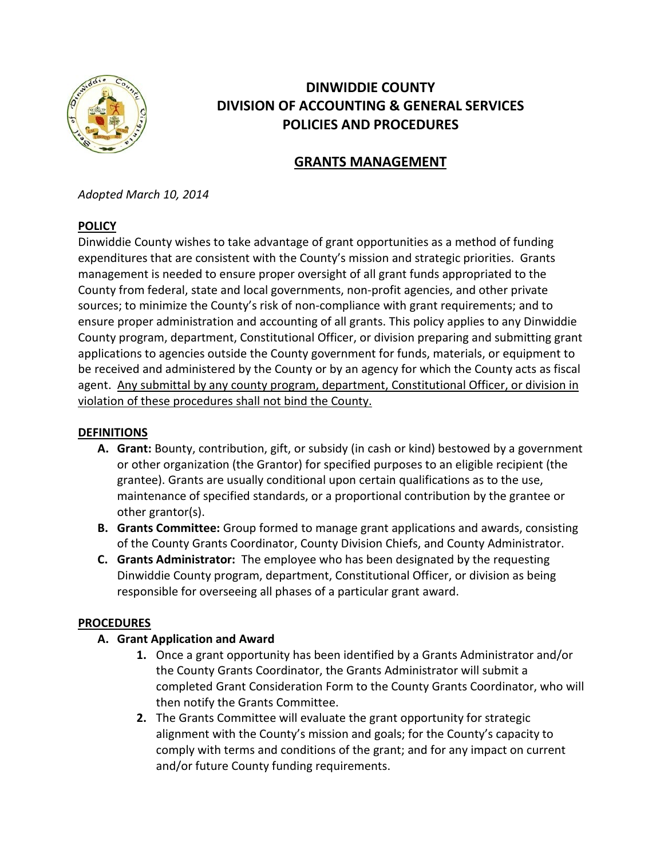

# **DINWIDDIE COUNTY DIVISION OF ACCOUNTING & GENERAL SERVICES POLICIES AND PROCEDURES**

## **GRANTS MANAGEMENT**

*Adopted March 10, 2014*

#### **POLICY**

Dinwiddie County wishes to take advantage of grant opportunities as a method of funding expenditures that are consistent with the County's mission and strategic priorities. Grants management is needed to ensure proper oversight of all grant funds appropriated to the County from federal, state and local governments, non-profit agencies, and other private sources; to minimize the County's risk of non-compliance with grant requirements; and to ensure proper administration and accounting of all grants. This policy applies to any Dinwiddie County program, department, Constitutional Officer, or division preparing and submitting grant applications to agencies outside the County government for funds, materials, or equipment to be received and administered by the County or by an agency for which the County acts as fiscal agent. Any submittal by any county program, department, Constitutional Officer, or division in violation of these procedures shall not bind the County.

#### **DEFINITIONS**

- **A. Grant:** Bounty, contribution, gift, or subsidy (in cash or kind) bestowed by a government or other organization (the Grantor) for specified purposes to an eligible recipient (the grantee). Grants are usually conditional upon certain qualifications as to the use, maintenance of specified standards, or a proportional contribution by the grantee or other grantor(s).
- **B. Grants Committee:** Group formed to manage grant applications and awards, consisting of the County Grants Coordinator, County Division Chiefs, and County Administrator.
- **C. Grants Administrator:** The employee who has been designated by the requesting Dinwiddie County program, department, Constitutional Officer, or division as being responsible for overseeing all phases of a particular grant award.

#### **PROCEDURES**

- **A. Grant Application and Award**
	- **1.** Once a grant opportunity has been identified by a Grants Administrator and/or the County Grants Coordinator, the Grants Administrator will submit a completed Grant Consideration Form to the County Grants Coordinator, who will then notify the Grants Committee.
	- **2.** The Grants Committee will evaluate the grant opportunity for strategic alignment with the County's mission and goals; for the County's capacity to comply with terms and conditions of the grant; and for any impact on current and/or future County funding requirements.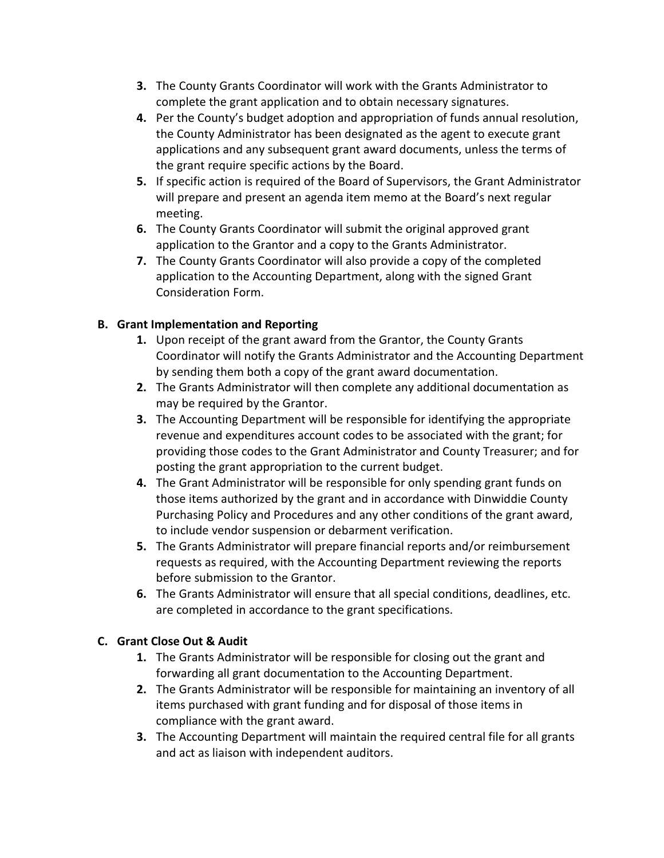- **3.** The County Grants Coordinator will work with the Grants Administrator to complete the grant application and to obtain necessary signatures.
- **4.** Per the County's budget adoption and appropriation of funds annual resolution, the County Administrator has been designated as the agent to execute grant applications and any subsequent grant award documents, unless the terms of the grant require specific actions by the Board.
- **5.** If specific action is required of the Board of Supervisors, the Grant Administrator will prepare and present an agenda item memo at the Board's next regular meeting.
- **6.** The County Grants Coordinator will submit the original approved grant application to the Grantor and a copy to the Grants Administrator.
- **7.** The County Grants Coordinator will also provide a copy of the completed application to the Accounting Department, along with the signed Grant Consideration Form.

### **B. Grant Implementation and Reporting**

- **1.** Upon receipt of the grant award from the Grantor, the County Grants Coordinator will notify the Grants Administrator and the Accounting Department by sending them both a copy of the grant award documentation.
- **2.** The Grants Administrator will then complete any additional documentation as may be required by the Grantor.
- **3.** The Accounting Department will be responsible for identifying the appropriate revenue and expenditures account codes to be associated with the grant; for providing those codes to the Grant Administrator and County Treasurer; and for posting the grant appropriation to the current budget.
- **4.** The Grant Administrator will be responsible for only spending grant funds on those items authorized by the grant and in accordance with Dinwiddie County Purchasing Policy and Procedures and any other conditions of the grant award, to include vendor suspension or debarment verification.
- **5.** The Grants Administrator will prepare financial reports and/or reimbursement requests as required, with the Accounting Department reviewing the reports before submission to the Grantor.
- **6.** The Grants Administrator will ensure that all special conditions, deadlines, etc. are completed in accordance to the grant specifications.

### **C. Grant Close Out & Audit**

- **1.** The Grants Administrator will be responsible for closing out the grant and forwarding all grant documentation to the Accounting Department.
- **2.** The Grants Administrator will be responsible for maintaining an inventory of all items purchased with grant funding and for disposal of those items in compliance with the grant award.
- **3.** The Accounting Department will maintain the required central file for all grants and act as liaison with independent auditors.